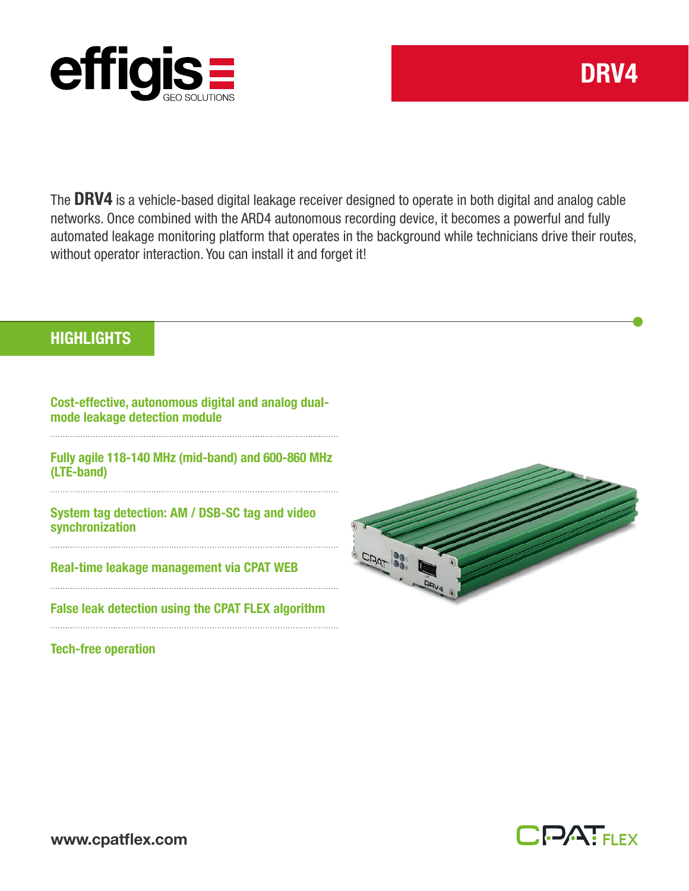

The DRV4 is a vehicle-based digital leakage receiver designed to operate in both digital and analog cable networks. Once combined with the ARD4 autonomous recording device, it becomes a powerful and fully automated leakage monitoring platform that operates in the background while technicians drive their routes, without operator interaction. You can install it and forget it!

## **HIGHLIGHTS**

Cost-effective, autonomous digital and analog dualmode leakage detection module

Fully agile 118-140 MHz (mid-band) and 600-860 MHz (LTE-band)

System tag detection: AM / DSB-SC tag and video synchronization

Real-time leakage management via CPAT WEB

False leak detection using the CPAT FLEX algorithm

Tech-free operation